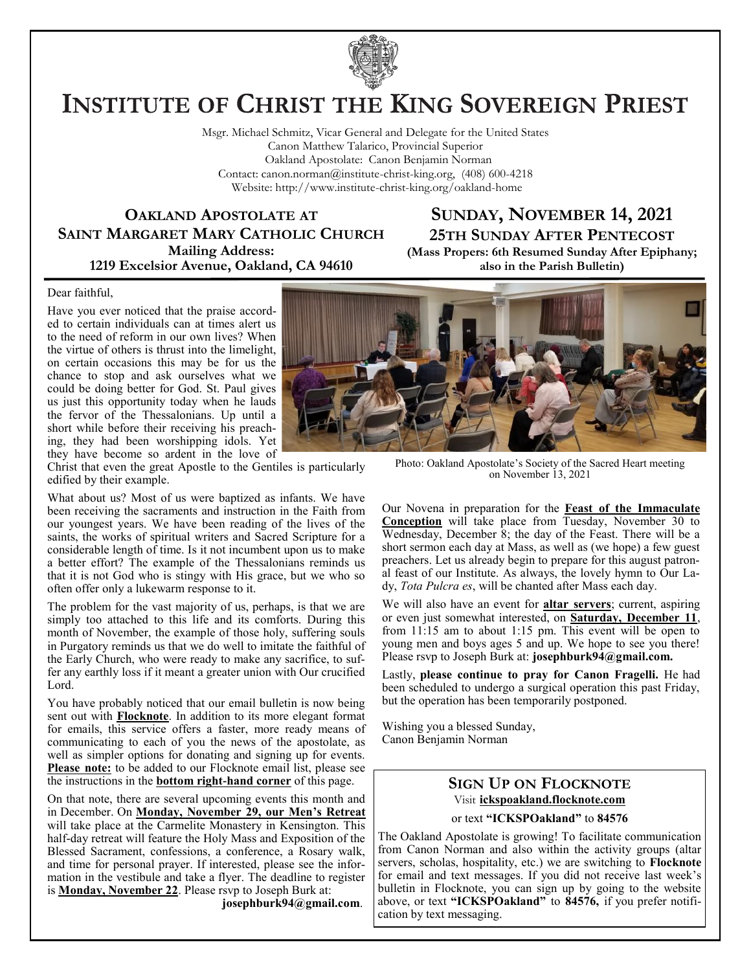

# **INSTITUTE OF CHRIST THE KING SOVEREIGN PRIEST**

Msgr. Michael Schmitz, Vicar General and Delegate for the United States Canon Matthew Talarico, Provincial Superior Oakland Apostolate: Canon Benjamin Norman Contact: canon.norman@institute-christ-king.org, (408) 600-4218 Website: http://www.institute-christ-king.org/oakland-home

**OAKLAND APOSTOLATE AT SAINT MARGARET MARY CATHOLIC CHURCH Mailing Address: 1219 Excelsior Avenue, Oakland, CA 94610**

### **SUNDAY, NOVEMBER 14, 2021 25TH SUNDAY AFTER PENTECOST (Mass Propers: 6th Resumed Sunday After Epiphany;**

**also in the Parish Bulletin)**

Dear faithful,

Have you ever noticed that the praise accorded to certain individuals can at times alert us to the need of reform in our own lives? When the virtue of others is thrust into the limelight, on certain occasions this may be for us the chance to stop and ask ourselves what we could be doing better for God. St. Paul gives us just this opportunity today when he lauds the fervor of the Thessalonians. Up until a short while before their receiving his preaching, they had been worshipping idols. Yet they have become so ardent in the love of

Christ that even the great Apostle to the Gentiles is particularly edified by their example.

What about us? Most of us were baptized as infants. We have been receiving the sacraments and instruction in the Faith from our youngest years. We have been reading of the lives of the saints, the works of spiritual writers and Sacred Scripture for a considerable length of time. Is it not incumbent upon us to make a better effort? The example of the Thessalonians reminds us that it is not God who is stingy with His grace, but we who so often offer only a lukewarm response to it.

The problem for the vast majority of us, perhaps, is that we are simply too attached to this life and its comforts. During this month of November, the example of those holy, suffering souls in Purgatory reminds us that we do well to imitate the faithful of the Early Church, who were ready to make any sacrifice, to suffer any earthly loss if it meant a greater union with Our crucified Lord.

You have probably noticed that our email bulletin is now being sent out with **Flocknote**. In addition to its more elegant format for emails, this service offers a faster, more ready means of communicating to each of you the news of the apostolate, as well as simpler options for donating and signing up for events. **Please note:** to be added to our Flocknote email list, please see the instructions in the **bottom right-hand corner** of this page.

On that note, there are several upcoming events this month and in December. On **Monday, November 29, our Men's Retreat** will take place at the Carmelite Monastery in Kensington. This half-day retreat will feature the Holy Mass and Exposition of the Blessed Sacrament, confessions, a conference, a Rosary walk, and time for personal prayer. If interested, please see the information in the vestibule and take a flyer. The deadline to register is **Monday, November 22**. Please rsvp to Joseph Burk at:

**[josephburk94@gmail.com](mailto:josephburk94@gmail.com)**.



Photo: Oakland Apostolate's Society of the Sacred Heart meeting on November 13, 2021

Our Novena in preparation for the **Feast of the Immaculate Conception** will take place from Tuesday, November 30 to Wednesday, December 8; the day of the Feast. There will be a short sermon each day at Mass, as well as (we hope) a few guest preachers. Let us already begin to prepare for this august patronal feast of our Institute. As always, the lovely hymn to Our Lady, *Tota Pulcra es*, will be chanted after Mass each day.

We will also have an event for **altar servers**; current, aspiring or even just somewhat interested, on **Saturday, December 11**, from 11:15 am to about 1:15 pm. This event will be open to young men and boys ages 5 and up. We hope to see you there! Please rsvp to Joseph Burk at: **[josephburk94@gmail.com.](mailto:josephburk94@gmail.com)**

Lastly, **please continue to pray for Canon Fragelli.** He had been scheduled to undergo a surgical operation this past Friday, but the operation has been temporarily postponed.

Wishing you a blessed Sunday, Canon Benjamin Norman

#### **SIGN UP ON FLOCKNOTE** Visit **ickspoakland.flocknote.com**

#### or text **"ICKSPOakland"** to **84576**

The Oakland Apostolate is growing! To facilitate communication from Canon Norman and also within the activity groups (altar servers, scholas, hospitality, etc.) we are switching to **Flocknote** for email and text messages. If you did not receive last week's bulletin in Flocknote, you can sign up by going to the website above, or text **"ICKSPOakland"** to **84576,** if you prefer notification by text messaging.